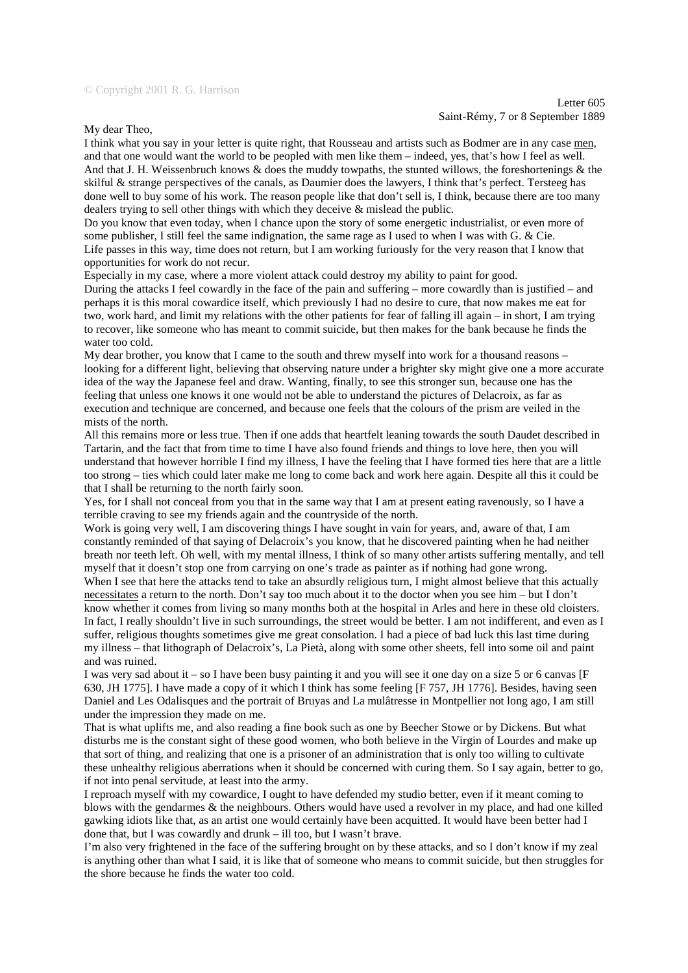My dear Theo,

I think what you say in your letter is quite right, that Rousseau and artists such as Bodmer are in any case men, and that one would want the world to be peopled with men like them – indeed, yes, that's how I feel as well. And that J. H. Weissenbruch knows & does the muddy towpaths, the stunted willows, the foreshortenings & the skilful & strange perspectives of the canals, as Daumier does the lawyers, I think that's perfect. Tersteeg has done well to buy some of his work. The reason people like that don't sell is, I think, because there are too many dealers trying to sell other things with which they deceive & mislead the public.

Do you know that even today, when I chance upon the story of some energetic industrialist, or even more of some publisher, I still feel the same indignation, the same rage as I used to when I was with G. & Cie. Life passes in this way, time does not return, but I am working furiously for the very reason that I know that opportunities for work do not recur.

Especially in my case, where a more violent attack could destroy my ability to paint for good. During the attacks I feel cowardly in the face of the pain and suffering – more cowardly than is justified – and perhaps it is this moral cowardice itself, which previously I had no desire to cure, that now makes me eat for two, work hard, and limit my relations with the other patients for fear of falling ill again – in short, I am trying to recover, like someone who has meant to commit suicide, but then makes for the bank because he finds the water too cold.

My dear brother, you know that I came to the south and threw myself into work for a thousand reasons – looking for a different light, believing that observing nature under a brighter sky might give one a more accurate idea of the way the Japanese feel and draw. Wanting, finally, to see this stronger sun, because one has the feeling that unless one knows it one would not be able to understand the pictures of Delacroix, as far as execution and technique are concerned, and because one feels that the colours of the prism are veiled in the mists of the north.

All this remains more or less true. Then if one adds that heartfelt leaning towards the south Daudet described in Tartarin, and the fact that from time to time I have also found friends and things to love here, then you will understand that however horrible I find my illness, I have the feeling that I have formed ties here that are a little too strong – ties which could later make me long to come back and work here again. Despite all this it could be that I shall be returning to the north fairly soon.

Yes, for I shall not conceal from you that in the same way that I am at present eating ravenously, so I have a terrible craving to see my friends again and the countryside of the north.

Work is going very well, I am discovering things I have sought in vain for years, and, aware of that, I am constantly reminded of that saying of Delacroix's you know, that he discovered painting when he had neither breath nor teeth left. Oh well, with my mental illness, I think of so many other artists suffering mentally, and tell myself that it doesn't stop one from carrying on one's trade as painter as if nothing had gone wrong.

When I see that here the attacks tend to take an absurdly religious turn, I might almost believe that this actually necessitates a return to the north. Don't say too much about it to the doctor when you see him – but I don't know whether it comes from living so many months both at the hospital in Arles and here in these old cloisters. In fact, I really shouldn't live in such surroundings, the street would be better. I am not indifferent, and even as I suffer, religious thoughts sometimes give me great consolation. I had a piece of bad luck this last time during my illness – that lithograph of Delacroix's, La Pietà, along with some other sheets, fell into some oil and paint and was ruined.

I was very sad about it – so I have been busy painting it and you will see it one day on a size 5 or 6 canvas  $[F]$ 630, JH 1775]. I have made a copy of it which I think has some feeling [F 757, JH 1776]. Besides, having seen Daniel and Les Odalisques and the portrait of Bruyas and La mulâtresse in Montpellier not long ago, I am still under the impression they made on me.

That is what uplifts me, and also reading a fine book such as one by Beecher Stowe or by Dickens. But what disturbs me is the constant sight of these good women, who both believe in the Virgin of Lourdes and make up that sort of thing, and realizing that one is a prisoner of an administration that is only too willing to cultivate these unhealthy religious aberrations when it should be concerned with curing them. So I say again, better to go, if not into penal servitude, at least into the army.

I reproach myself with my cowardice, I ought to have defended my studio better, even if it meant coming to blows with the gendarmes & the neighbours. Others would have used a revolver in my place, and had one killed gawking idiots like that, as an artist one would certainly have been acquitted. It would have been better had I done that, but I was cowardly and drunk – ill too, but I wasn't brave.

I'm also very frightened in the face of the suffering brought on by these attacks, and so I don't know if my zeal is anything other than what I said, it is like that of someone who means to commit suicide, but then struggles for the shore because he finds the water too cold.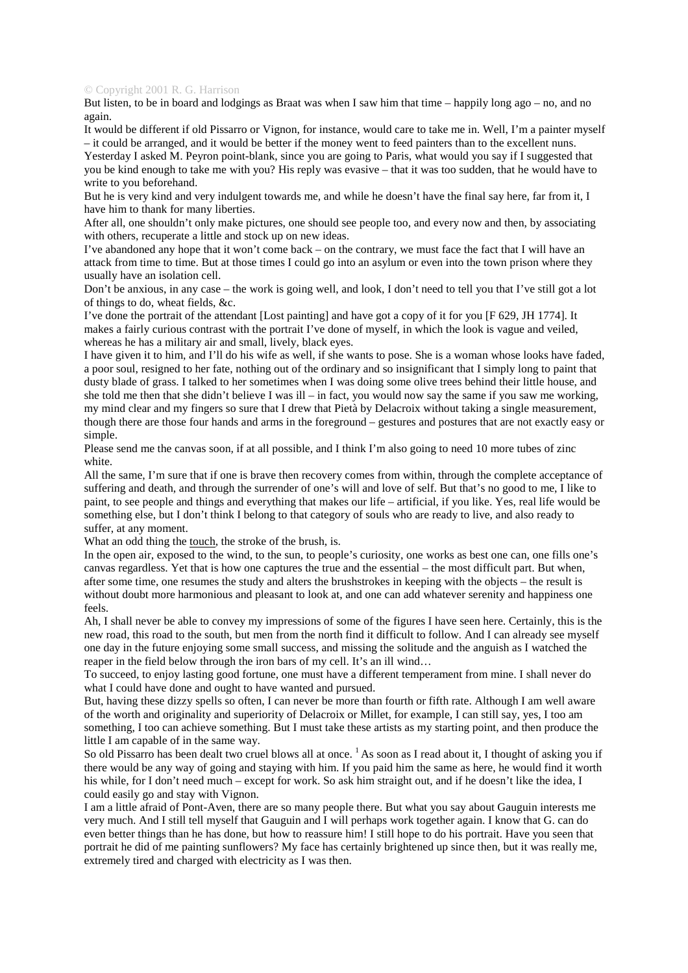## © Copyright 2001 R. G. Harrison

But listen, to be in board and lodgings as Braat was when I saw him that time – happily long ago – no, and no again.

It would be different if old Pissarro or Vignon, for instance, would care to take me in. Well, I'm a painter myself – it could be arranged, and it would be better if the money went to feed painters than to the excellent nuns. Yesterday I asked M. Peyron point-blank, since you are going to Paris, what would you say if I suggested that you be kind enough to take me with you? His reply was evasive – that it was too sudden, that he would have to write to you beforehand.

But he is very kind and very indulgent towards me, and while he doesn't have the final say here, far from it, I have him to thank for many liberties.

After all, one shouldn't only make pictures, one should see people too, and every now and then, by associating with others, recuperate a little and stock up on new ideas.

I've abandoned any hope that it won't come back – on the contrary, we must face the fact that I will have an attack from time to time. But at those times I could go into an asylum or even into the town prison where they usually have an isolation cell.

Don't be anxious, in any case – the work is going well, and look, I don't need to tell you that I've still got a lot of things to do, wheat fields, &c.

I've done the portrait of the attendant [Lost painting] and have got a copy of it for you [F 629, JH 1774]. It makes a fairly curious contrast with the portrait I've done of myself, in which the look is vague and veiled, whereas he has a military air and small, lively, black eyes.

I have given it to him, and I'll do his wife as well, if she wants to pose. She is a woman whose looks have faded, a poor soul, resigned to her fate, nothing out of the ordinary and so insignificant that I simply long to paint that dusty blade of grass. I talked to her sometimes when I was doing some olive trees behind their little house, and she told me then that she didn't believe I was ill – in fact, you would now say the same if you saw me working, my mind clear and my fingers so sure that I drew that Pietà by Delacroix without taking a single measurement, though there are those four hands and arms in the foreground – gestures and postures that are not exactly easy or simple.

Please send me the canvas soon, if at all possible, and I think I'm also going to need 10 more tubes of zinc white.

All the same, I'm sure that if one is brave then recovery comes from within, through the complete acceptance of suffering and death, and through the surrender of one's will and love of self. But that's no good to me, I like to paint, to see people and things and everything that makes our life – artificial, if you like. Yes, real life would be something else, but I don't think I belong to that category of souls who are ready to live, and also ready to suffer, at any moment.

What an odd thing the touch, the stroke of the brush, is.

In the open air, exposed to the wind, to the sun, to people's curiosity, one works as best one can, one fills one's canvas regardless. Yet that is how one captures the true and the essential – the most difficult part. But when, after some time, one resumes the study and alters the brushstrokes in keeping with the objects – the result is without doubt more harmonious and pleasant to look at, and one can add whatever serenity and happiness one feels.

Ah, I shall never be able to convey my impressions of some of the figures I have seen here. Certainly, this is the new road, this road to the south, but men from the north find it difficult to follow. And I can already see myself one day in the future enjoying some small success, and missing the solitude and the anguish as I watched the reaper in the field below through the iron bars of my cell. It's an ill wind...

To succeed, to enjoy lasting good fortune, one must have a different temperament from mine. I shall never do what I could have done and ought to have wanted and pursued.

But, having these dizzy spells so often, I can never be more than fourth or fifth rate. Although I am well aware of the worth and originality and superiority of Delacroix or Millet, for example, I can still say, yes, I too am something, I too can achieve something. But I must take these artists as my starting point, and then produce the little I am capable of in the same way.

So old Pissarro has been dealt two cruel blows all at once. <sup>1</sup> As soon as I read about it, I thought of asking you if there would be any way of going and staying with him. If you paid him the same as here, he would find it worth his while, for I don't need much – except for work. So ask him straight out, and if he doesn't like the idea, I could easily go and stay with Vignon.

I am a little afraid of Pont-Aven, there are so many people there. But what you say about Gauguin interests me very much. And I still tell myself that Gauguin and I will perhaps work together again. I know that G. can do even better things than he has done, but how to reassure him! I still hope to do his portrait. Have you seen that portrait he did of me painting sunflowers? My face has certainly brightened up since then, but it was really me, extremely tired and charged with electricity as I was then.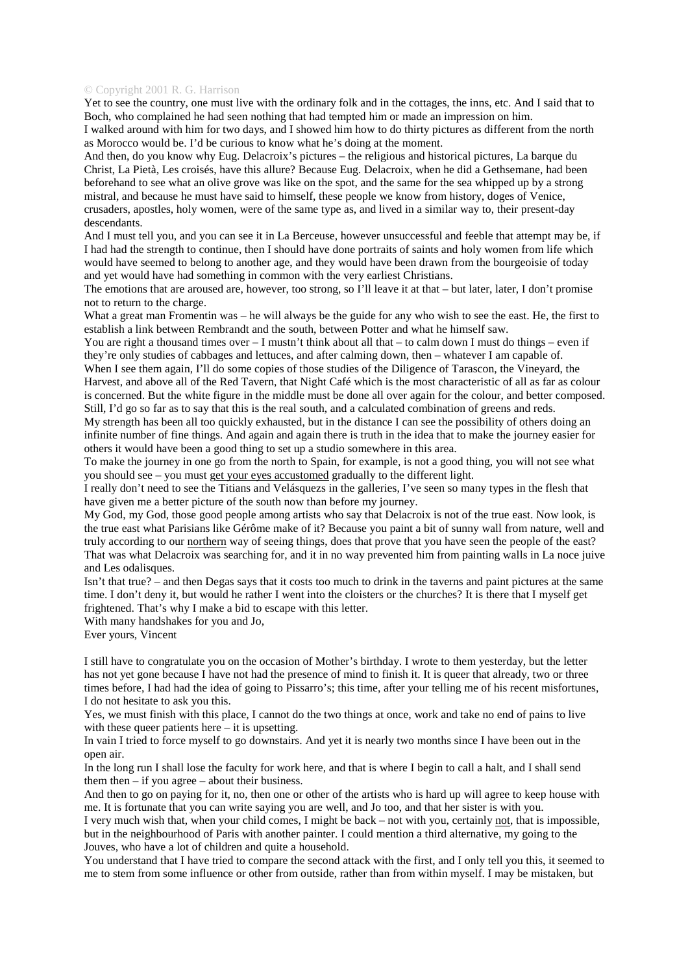## © Copyright 2001 R. G. Harrison

Yet to see the country, one must live with the ordinary folk and in the cottages, the inns, etc. And I said that to Boch, who complained he had seen nothing that had tempted him or made an impression on him. I walked around with him for two days, and I showed him how to do thirty pictures as different from the north

as Morocco would be. I'd be curious to know what he's doing at the moment.

And then, do you know why Eug. Delacroix's pictures – the religious and historical pictures, La barque du Christ, La Pietà, Les croisés, have this allure? Because Eug. Delacroix, when he did a Gethsemane, had been beforehand to see what an olive grove was like on the spot, and the same for the sea whipped up by a strong mistral, and because he must have said to himself, these people we know from history, doges of Venice, crusaders, apostles, holy women, were of the same type as, and lived in a similar way to, their present-day descendants.

And I must tell you, and you can see it in La Berceuse, however unsuccessful and feeble that attempt may be, if I had had the strength to continue, then I should have done portraits of saints and holy women from life which would have seemed to belong to another age, and they would have been drawn from the bourgeoisie of today and yet would have had something in common with the very earliest Christians.

The emotions that are aroused are, however, too strong, so I'll leave it at that – but later, later, I don't promise not to return to the charge.

What a great man Fromentin was – he will always be the guide for any who wish to see the east. He, the first to establish a link between Rembrandt and the south, between Potter and what he himself saw.

You are right a thousand times over – I mustn't think about all that – to calm down I must do things – even if they're only studies of cabbages and lettuces, and after calming down, then – whatever I am capable of.

When I see them again, I'll do some copies of those studies of the Diligence of Tarascon, the Vineyard, the Harvest, and above all of the Red Tavern, that Night Café which is the most characteristic of all as far as colour is concerned. But the white figure in the middle must be done all over again for the colour, and better composed. Still, I'd go so far as to say that this is the real south, and a calculated combination of greens and reds.

My strength has been all too quickly exhausted, but in the distance I can see the possibility of others doing an infinite number of fine things. And again and again there is truth in the idea that to make the journey easier for others it would have been a good thing to set up a studio somewhere in this area.

To make the journey in one go from the north to Spain, for example, is not a good thing, you will not see what you should see – you must get your eyes accustomed gradually to the different light.

I really don't need to see the Titians and Velásquezs in the galleries, I've seen so many types in the flesh that have given me a better picture of the south now than before my journey.

My God, my God, those good people among artists who say that Delacroix is not of the true east. Now look, is the true east what Parisians like Gérôme make of it? Because you paint a bit of sunny wall from nature, well and truly according to our northern way of seeing things, does that prove that you have seen the people of the east? That was what Delacroix was searching for, and it in no way prevented him from painting walls in La noce juive and Les odalisques.

Isn't that true? – and then Degas says that it costs too much to drink in the taverns and paint pictures at the same time. I don't deny it, but would he rather I went into the cloisters or the churches? It is there that I myself get frightened. That's why I make a bid to escape with this letter.

With many handshakes for you and Jo,

Ever yours, Vincent

I still have to congratulate you on the occasion of Mother's birthday. I wrote to them yesterday, but the letter has not yet gone because I have not had the presence of mind to finish it. It is queer that already, two or three times before, I had had the idea of going to Pissarro's; this time, after your telling me of his recent misfortunes, I do not hesitate to ask you this.

Yes, we must finish with this place, I cannot do the two things at once, work and take no end of pains to live with these queer patients here – it is upsetting.

In vain I tried to force myself to go downstairs. And yet it is nearly two months since I have been out in the open air.

In the long run I shall lose the faculty for work here, and that is where I begin to call a halt, and I shall send them then – if you agree – about their business.

And then to go on paying for it, no, then one or other of the artists who is hard up will agree to keep house with me. It is fortunate that you can write saying you are well, and Jo too, and that her sister is with you.

I very much wish that, when your child comes, I might be back – not with you, certainly not, that is impossible, but in the neighbourhood of Paris with another painter. I could mention a third alternative, my going to the Jouves, who have a lot of children and quite a household.

You understand that I have tried to compare the second attack with the first, and I only tell you this, it seemed to me to stem from some influence or other from outside, rather than from within myself. I may be mistaken, but